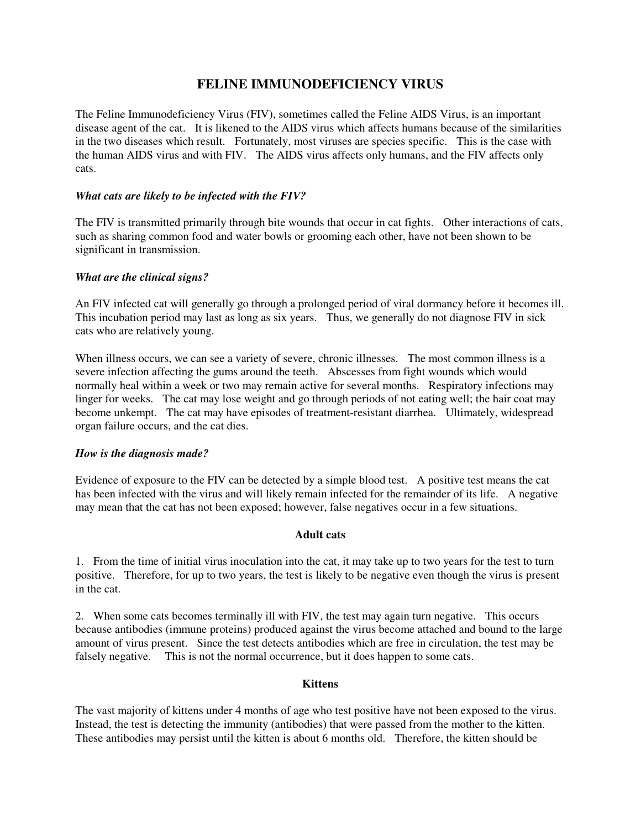# **FELINE IMMUNODEFICIENCY VIRUS**

The Feline Immunodeficiency Virus (FIV), sometimes called the Feline AIDS Virus, is an important disease agent of the cat. It is likened to the AIDS virus which affects humans because of the similarities in the two diseases which result. Fortunately, most viruses are species specific. This is the case with the human AIDS virus and with FIV. The AIDS virus affects only humans, and the FIV affects only cats.

# *What cats are likely to be infected with the FIV?*

The FIV is transmitted primarily through bite wounds that occur in cat fights. Other interactions of cats, such as sharing common food and water bowls or grooming each other, have not been shown to be significant in transmission.

# *What are the clinical signs?*

An FIV infected cat will generally go through a prolonged period of viral dormancy before it becomes ill. This incubation period may last as long as six years. Thus, we generally do not diagnose FIV in sick cats who are relatively young.

When illness occurs, we can see a variety of severe, chronic illnesses. The most common illness is a severe infection affecting the gums around the teeth. Abscesses from fight wounds which would normally heal within a week or two may remain active for several months. Respiratory infections may linger for weeks. The cat may lose weight and go through periods of not eating well; the hair coat may become unkempt. The cat may have episodes of treatment-resistant diarrhea. Ultimately, widespread organ failure occurs, and the cat dies.

# *How is the diagnosis made?*

Evidence of exposure to the FIV can be detected by a simple blood test. A positive test means the cat has been infected with the virus and will likely remain infected for the remainder of its life. A negative may mean that the cat has not been exposed; however, false negatives occur in a few situations.

# **Adult cats**

1. From the time of initial virus inoculation into the cat, it may take up to two years for the test to turn positive. Therefore, for up to two years, the test is likely to be negative even though the virus is present in the cat.

2. When some cats becomes terminally ill with FIV, the test may again turn negative. This occurs because antibodies (immune proteins) produced against the virus become attached and bound to the large amount of virus present. Since the test detects antibodies which are free in circulation, the test may be falsely negative. This is not the normal occurrence, but it does happen to some cats.

#### **Kittens**

The vast majority of kittens under 4 months of age who test positive have not been exposed to the virus. Instead, the test is detecting the immunity (antibodies) that were passed from the mother to the kitten. These antibodies may persist until the kitten is about 6 months old. Therefore, the kitten should be